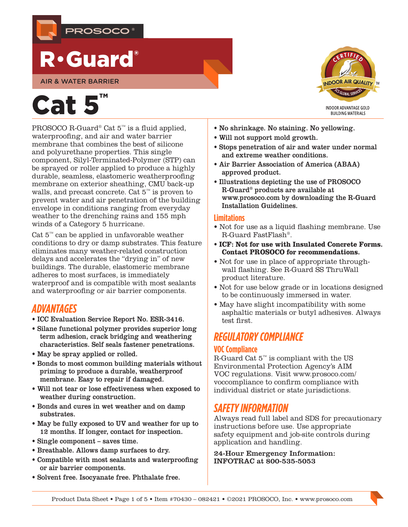

## R•Guard®

AIR & WATER BARRIER

# Cat 5

PROSOCO R-Guard® Cat 5™ is a fluid applied, waterproofing, and air and water barrier membrane that combines the best of silicone and polyurethane properties. This single component, Silyl-Terminated-Polymer (STP) can be sprayed or roller applied to produce a highly durable, seamless, elastomeric weatherproofing membrane on exterior sheathing, CMU back-up walls, and precast concrete. Cat 5™ is proven to prevent water and air penetration of the building envelope in conditions ranging from everyday weather to the drenching rains and 155 mph winds of a Category 5 hurricane.

Cat  $5^{\omega}$  can be applied in unfavorable weather conditions to dry or damp substrates. This feature eliminates many weather-related construction delays and accelerates the "drying in" of new buildings. The durable, elastomeric membrane adheres to most surfaces, is immediately waterproof and is compatible with most sealants and waterproofing or air barrier components.

## *ADVANTAGES*

- [ICC Evaluation Service Report No. ESR-3416.](http://ICC%20Evaluation%20Service%20Report%20No.%20ESR-3416)
- Silane functional polymer provides superior long term adhesion, crack bridging and weathering characteristics. Self seals fastener penetrations.
- May be spray applied or rolled.
- Bonds to most common building materials without priming to produce a durable, weatherproof membrane. Easy to repair if damaged.
- Will not tear or lose effectiveness when exposed to weather during construction.
- Bonds and cures in wet weather and on damp substrates.
- May be fully exposed to UV and weather for up to 12 months. If longer, contact for inspection.
- Single component saves time.
- Breathable. Allows damp surfaces to dry.
- Compatible with most sealants and waterproofing or air barrier components.
- Solvent free. Isocyanate free. Phthalate free.



- No shrinkage. No staining. No yellowing.
- Will not support mold growth.
- Stops penetration of air and water under normal and extreme weather conditions.
- Air Barrier Association of America (ABAA) approved product.
- Illustrations depicting the use of PROSOCO R-Guard® products are available at [www.prosoco.com](http://www.prosoco.com) by downloading the [R-Guard](https://prosoco.com/products/air-water-barriers/resources/)  [Installation Guidelines.](https://prosoco.com/products/air-water-barriers/resources/)

#### **Limitations**

- Not for use as a liquid flashing membrane. Use R-Guard FastFlash®.
- **ICF: Not for use with Insulated Concrete Forms. Contact PROSOCO for recommendations.**
- Not for use in place of appropriate throughwall flashing. See R-Guard SS ThruWall product literature.
- Not for use below grade or in locations designed to be continuously immersed in water.
- May have slight incompatibility with some asphaltic materials or butyl adhesives. Always test first.

## *REGULATORY COMPLIANCE*

#### **VOC Compliance**

R-Guard Cat $5^{\scriptscriptstyle\rm{M}}$  is compliant with the US Environmental Protection Agency's AIM VOC regulations. Visit [www.prosoco.com/](http://www.prosoco.com/voccompliance) [voccompliance](http://www.prosoco.com/voccompliance) to confirm compliance with individual district or state jurisdictions.

## *SAFETY INFORMATION*

Always read full label and SDS for precautionary instructions before use. Use appropriate safety equipment and job-site controls during application and handling.

#### 24-Hour Emergency Information: INFOTRAC at 800-535-5053

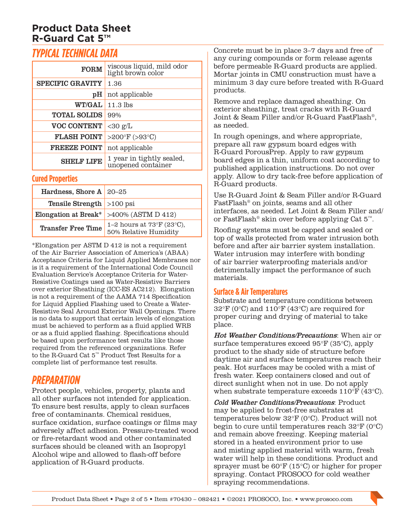## *TYPICAL TECHNICAL DATA*

| <b>FORM</b>             | viscous liquid, mild odor<br>light brown color  |  |
|-------------------------|-------------------------------------------------|--|
| <b>SPECIFIC GRAVITY</b> | 1.36                                            |  |
| pH                      | not applicable                                  |  |
| <b>WT/GAL</b>           | $11.3$ lbs                                      |  |
| <b>TOTAL SOLIDS</b>     | 99%                                             |  |
| <b>VOC CONTENT</b>      | $<$ 30 g/L                                      |  |
| <b>FLASH POINT</b>      | >200°F (>93°C)                                  |  |
| <b>FREEZE POINT</b>     | not applicable                                  |  |
| <b>SHELF LIFE</b>       | 1 year in tightly sealed,<br>unopened container |  |

#### **Cured Properties**

| Hardness, Shore A $20-25$          |                                                                       |
|------------------------------------|-----------------------------------------------------------------------|
| <b>Tensile Strength</b> $>100$ psi |                                                                       |
|                                    | Elongation at Break* $>400\%$ (ASTM D 412)                            |
| <b>Transfer Free Time</b>          | 1–2 hours at $73^{\circ}F(23^{\circ}C)$ ,<br>$50\%$ Relative Humidity |

\*Elongation per ASTM D 412 is not a requirement of the Air Barrier Association of America's (ABAA) Acceptance Criteria for Liquid Applied Membranes nor is it a requirement of the International Code Council Evaluation Service's Acceptance Criteria for Water-Resistive Coatings used as Water-Resistive Barriers over exterior Sheathing (ICC-ES AC212). Elongation is not a requirement of the AAMA 714 Specification for Liquid Applied Flashing used to Create a Water-Resistive Seal Around Exterior Wall Openings. There is no data to support that certain levels of elongation must be achieved to perform as a fluid applied WRB or as a fluid applied flashing. Specifications should be based upon performance test results like those required from the referenced organizations. Refer to the R-Guard Cat 5™ Product Test Results for a complete list of performance test results.

## *PREPARATION*

Protect people, vehicles, property, plants and all other surfaces not intended for application. To ensure best results, apply to clean surfaces free of contaminants. Chemical residues, surface oxidation, surface coatings or films may adversely affect adhesion. Pressure-treated wood or fire-retardant wood and other contaminated surfaces should be cleaned with an Isopropyl Alcohol wipe and allowed to flash-off before application of R-Guard products.

Concrete must be in place 3–7 days and free of any curing compounds or form release agents before permeable R-Guard products are applied. Mortar joints in CMU construction must have a minimum 3 day cure before treated with R-Guard products.

Remove and replace damaged sheathing. On exterior sheathing, treat cracks with R-Guard Joint & Seam Filler and/or R-Guard FastFlash®, as needed.

In rough openings, and where appropriate, prepare all raw gypsum board edges with R-Guard PorousPrep. Apply to raw gypsum board edges in a thin, uniform coat according to published application instructions. Do not over apply. Allow to dry tack-free before application of R-Guard products.

Use R-Guard Joint & Seam Filler and/or R-Guard FastFlash® on joints, seams and all other interfaces, as needed. Let Joint & Seam Filler and/ or FastFlash® skin over before applying Cat 5™.

Roofing systems must be capped and sealed or top of walls protected from water intrusion both before and after air barrier system installation. Water intrusion may interfere with bonding of air barrier waterproofing materials and/or detrimentally impact the performance of such materials.

#### **Surface & Air Temperatures**

Substrate and temperature conditions between 32°F (0°C) and 110°F (43°C) are required for proper curing and drying of material to take place.

Hot Weather Conditions/Precautions: When air or surface temperatures exceed 95°F (35°C), apply product to the shady side of structure before daytime air and surface temperatures reach their peak. Hot surfaces may be cooled with a mist of fresh water. Keep containers closed and out of direct sunlight when not in use. Do not apply when substrate temperature exceeds 110°F (43°C).

Cold Weather Conditions/Precautions: Product may be applied to frost-free substrates at temperatures below 32°F (0°C). Product will not begin to cure until temperatures reach 32°F (0°C) and remain above freezing. Keeping material stored in a heated environment prior to use and misting applied material with warm, fresh water will help in these conditions. Product and sprayer must be 60°F (15°C) or higher for proper spraying. Contact PROSOCO for cold weather spraying recommendations.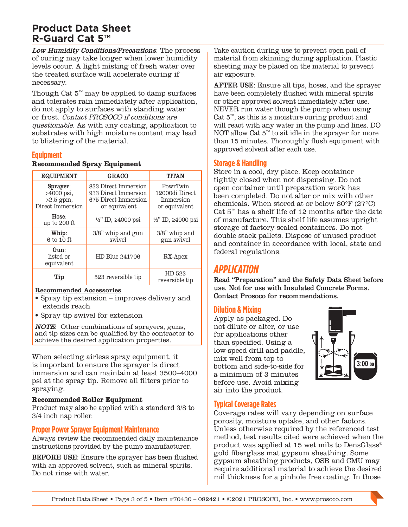Low Humidity Conditions/Precautions: The process of curing may take longer when lower humidity levels occur. A light misting of fresh water over the treated surface will accelerate curing if necessary.

Though Cat  $5^{\omega}$  may be applied to damp surfaces and tolerates rain immediately after application, do not apply to surfaces with standing water or frost. Contact PROSOCO if conditions are questionable. As with any coating, application to substrates with high moisture content may lead to blistering of the material.

#### **Equipment**

#### **Recommended Spray Equipment**

| <b>EQUIPMENT</b>                                            | <b>GRACO</b>                                                                          | <b>TITAN</b>                                             |
|-------------------------------------------------------------|---------------------------------------------------------------------------------------|----------------------------------------------------------|
| Sprayer:<br>$>4000$ psi,<br>$>2.5$ gpm,<br>Direct Immersion | 833 Direct Immersion<br>933 Direct Immersion<br>675 Direct Immersion<br>or equivalent | PowrTwin<br>12000di Direct<br>Immersion<br>or equivalent |
| Hose:<br>up to 200 ft                                       | $\frac{1}{2}$ " ID, 24000 psi                                                         | $\frac{1}{2}$ ID, ≥4000 psi                              |
| Whip:<br>6 to 10 ft                                         | 3/8" whip and gun<br>swivel                                                           | 3/8" whip and<br>gun swivel                              |
| Gun:<br>listed or<br>equivalent                             | HD Blue 241706                                                                        | RX-Apex                                                  |
| Tip                                                         | 523 reversible tip                                                                    | HD 523<br>reversible tip                                 |

#### Recommended Accessories

- Spray tip extension improves delivery and extends reach
- Spray tip swivel for extension

**NOTE:** Other combinations of sprayers, guns, and tip sizes can be qualified by the contractor to achieve the desired application properties.

When selecting airless spray equipment, it is important to ensure the sprayer is direct immersion and can maintain at least 3500–4000 psi at the spray tip. Remove all filters prior to spraying.

#### **Recommended Roller Equipment**

Product may also be applied with a standard 3/8 to 3/4 inch nap roller.

#### **Proper Power Sprayer Equipment Maintenance**

Always review the recommended daily maintenance instructions provided by the pump manufacturer.

BEFORE USE: Ensure the sprayer has been flushed with an approved solvent, such as mineral spirits. Do not rinse with water.

Take caution during use to prevent open pail of material from skinning during application. Plastic sheeting may be placed on the material to prevent air exposure.

AFTER USE: Ensure all tips, hoses, and the sprayer have been completely flushed with mineral spirits or other approved solvent immediately after use. NEVER run water though the pump when using Cat  $5^{\mathbb{N}}$ , as this is a moisture curing product and will react with any water in the pump and lines. DO NOT allow Cat 5™ to sit idle in the sprayer for more than 15 minutes. Thoroughly flush equipment with approved solvent after each use.

#### **Storage & Handling**

Store in a cool, dry place. Keep container tightly closed when not dispensing. Do not open container until preparation work has been completed. Do not alter or mix with other chemicals. When stored at or below 80°F (27°C) Cat  $5^{\text{m}}$  has a shelf life of 12 months after the date of manufacture. This shelf life assumes upright storage of factory-sealed containers. Do not double stack pallets. Dispose of unused product and container in accordance with local, state and federal regulations.

## *APPLICATION*

Read "Preparation" and the Safety Data Sheet before use. Not for use with Insulated Concrete Forms. Contact Prosoco for recommendations.

#### **Dilution & Mixing**

Apply as packaged. Do not dilute or alter, or use for applications other than specified. Using a low-speed drill and paddle, mix well from top to bottom and side-to-side for a minimum of 3 minutes before use. Avoid mixing air into the product.



#### **Typical Coverage Rates**

Coverage rates will vary depending on surface porosity, moisture uptake, and other factors. Unless otherwise required by the referenced test method, test results cited were achieved when the product was applied at 15 wet mils to DensGlass® gold fiberglass mat gypsum sheathing. Some gypsum sheathing products, OSB and CMU may require additional material to achieve the desired mil thickness for a pinhole free coating. In those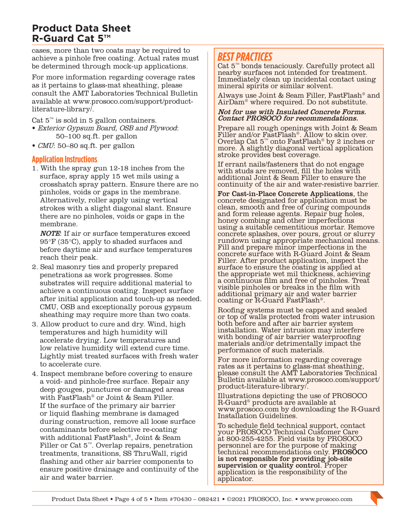cases, more than two coats may be required to achieve a pinhole free coating. Actual rates must be determined through mock-up applications.

For more information regarding coverage rates as it pertains to glass-mat sheathing, please consult the [AMT Laboratories Technical Bulletin](https://prosoco.com/app/uploads/2018/11/coating-problems-caused-by-differences-in-glass-mat-sheathing-tech-note.pdf) available at [www.prosoco.com/s](http://www.prosoco.com/literature-library/)upport/productliterature-library/.

Cat  $5^{\text{m}}$  is sold in 5 gallon containers.

- Exterior Gypsum Board, OSB and Plywood: 50–100 [sq.ft](http://sq.ft). per gallon
- CMU: 50–80 [sq.ft](http://sq.ft). per gallon

#### **Application Instructions**

1. With the spray gun 12-18 inches from the surface, spray apply 15 wet mils using a crosshatch spray pattern. Ensure there are no pinholes, voids or gaps in the membrane. Alternatively, roller apply using vertical strokes with a slight diagonal slant. Ensure there are no pinholes, voids or gaps in the membrane.

NOTE: If air or surface temperatures exceed 95°F (35°C), apply to shaded surfaces and before daytime air and surface temperatures reach their peak.

- 2. Seal masonry ties and properly prepared penetrations as work progresses. Some substrates will require additional material to achieve a continuous coating. Inspect surface after initial application and touch-up as needed. CMU, OSB and exceptionally porous gypsum sheathing may require more than two coats.
- 3. Allow product to cure and dry. Wind, high temperatures and high humidity will accelerate drying. Low temperatures and low relative humidity will extend cure time. Lightly mist treated surfaces with fresh water to accelerate cure.
- 4. Inspect membrane before covering to ensure a void- and pinhole-free surface. Repair any deep gouges, punctures or damaged areas with FastFlash® or Joint & Seam Filler. If the surface of the primary air barrier or liquid flashing membrane is damaged during construction, remove all loose surface contaminants before selective re-coating with additional FastFlash®, Joint & Seam Filler or Cat 5™. Overlap repairs, penetration treatments, transitions, SS ThruWall, rigid flashing and other air barrier components to ensure positive drainage and continuity of the air and water barrier.

## *BEST PRACTICES*

Cat 5™ bonds tenaciously. Carefully protect all nearby surfaces not intended for treatment. Immediately clean up incidental contact using mineral spirits or similar solvent.

Always use Joint & Seam Filler, FastFlash® and AirDam® where required. Do not substitute.

#### Not for use with Insulated Concrete Forms. Contact PROSOCO for recommendations.

Prepare all rough openings with Joint & Seam Filler and/or FastFlash<sup>®</sup>. Allow to skin over. Overlap Cat 5™ onto FastFlash® by 2 inches or more. A slightly diagonal vertical application stroke provides best coverage.

If errant nails/fasteners that do not engage with studs are removed, fill the holes with additional Joint & Seam Filler to ensure the continuity of the air and water-resistive barrier.

For Cast-in-Place Concrete Applications, the concrete designated for application must be clean, smooth and free of curing compounds and form release agents. Repair bug holes, honey combing and other imperfections using a suitable cementitious mortar. Remove concrete splashes, over pours, grout or slurry rundown using appropriate mechanical means. Fill and prepare minor imperfections in the concrete surface with R-Guard Joint & Seam Filler. After product application, inspect the surface to ensure the coating is applied at the appropriate wet mil thickness, achieving a continuous film and free of pinholes. Treat visible pinholes or breaks in the film with additional primary air and water barrier coating or R-Guard FastFlash®.

Roofing systems must be capped and sealed or top of walls protected from water intrusion both before and after air barrier system installation. Water intrusion may interfere with bonding of air barrier waterproofing materials and/or detrimentally impact the performance of such materials.

For more information regarding coverage rates as it pertains to glass-mat sheathing, please consult the [AMT Laboratories Technical](https://prosoco.com/app/uploads/2018/11/coating-problems-caused-by-differences-in-glass-mat-sheathing-tech-note.pdf)  [Bulletin](https://prosoco.com/app/uploads/2018/11/coating-problems-caused-by-differences-in-glass-mat-sheathing-tech-note.pdf) available at [www.prosoco.com/](http://www.prosoco.com/literature-library/)support/ product-literature-library/.

Illustrations depicting the use of PROSOCO R-Guard® products are available at [www.prosoco.com](http://www.prosoco.com) by downloading the [R-Guard](https://prosoco.com/products/air-water-barriers/resources/)  [Installation Guidelines.](https://prosoco.com/products/air-water-barriers/resources/)

To schedule field technical support, contact your PROSOCO Technical Customer Care at 800-255-4255. Field visits by PROSOCO personnel are for the purpose of making technical recommendations only. **PROSOCO** is not responsible for providing job-site supervision or quality control. Proper application is the responsibility of the applicator.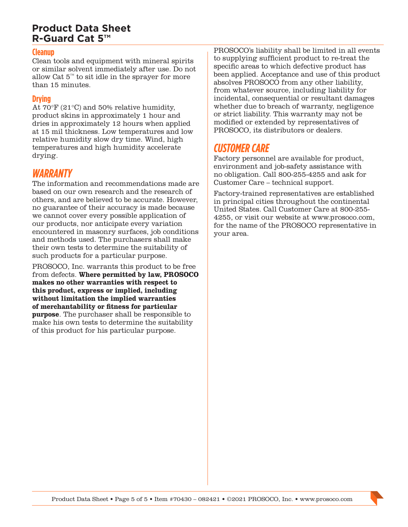#### **Cleanup**

Clean tools and equipment with mineral spirits or similar solvent immediately after use. Do not allow Cat 5™ to sit idle in the sprayer for more than 15 minutes.

#### **Drying**

At 70°F (21°C) and 50% relative humidity, product skins in approximately 1 hour and dries in approximately 12 hours when applied at 15 mil thickness. Low temperatures and low relative humidity slow dry time. Wind, high temperatures and high humidity accelerate drying.

#### *WARRANTY*

The information and recommendations made are based on our own research and the research of others, and are believed to be accurate. However, no guarantee of their accuracy is made because we cannot cover every possible application of our products, nor anticipate every variation encountered in masonry surfaces, job conditions and methods used. The purchasers shall make their own tests to determine the suitability of such products for a particular purpose.

PROSOCO, Inc. warrants this product to be free from defects. **Where permitted by law, PROSOCO makes no other warranties with respect to this product, express or implied, including without limitation the implied warranties of merchantability or fitness for particular purpose**. The purchaser shall be responsible to make his own tests to determine the suitability of this product for his particular purpose.

PROSOCO's liability shall be limited in all events to supplying sufficient product to re-treat the specific areas to which defective product has been applied. Acceptance and use of this product absolves PROSOCO from any other liability, from whatever source, including liability for incidental, consequential or resultant damages whether due to breach of warranty, negligence or strict liability. This warranty may not be modified or extended by representatives of PROSOCO, its distributors or dealers.

## *CUSTOMER CARE*

Factory personnel are available for product, environment and job-safety assistance with no obligation. Call 800-255-4255 and ask for Customer Care – technical support.

Factory-trained representatives are established in principal cities throughout the continental United States. Call Customer Care at 800-255- 4255, or visit our website at [www.prosoco.com](http://www.prosoco.com), for the name of the PROSOCO representative in your area.